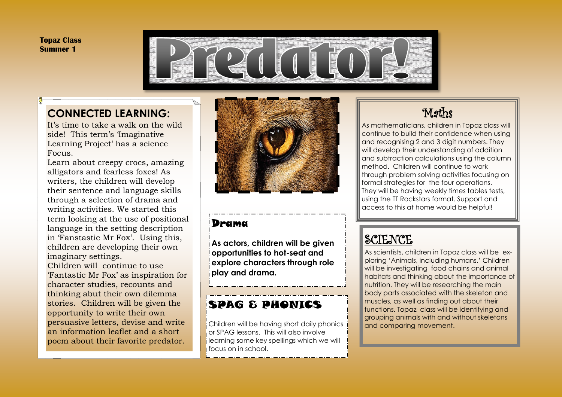**Topaz Class Summer 1**



#### **CONNECTED LEARNING:**

It's time to take a walk on the wild side! This term's 'Imaginative Learning Project' has a science Focus.

Learn about creepy crocs, amazing alligators and fearless foxes! As writers, the children will develop their sentence and language skills through a selection of drama and writing activities. We started this term looking at the use of positional language in the setting description in 'Fanstastic Mr Fox'. Using this, children are developing their own imaginary settings. Children will continue to use

'Fantastic Mr Fox' as inspiration for character studies, recounts and thinking abut their own dilemma stories. Children will be given the opportunity to write their own persuasive letters, devise and write an information leaflet and a short poem about their favorite predator.



#### Drama

**As actors, children will be given opportunities to hot-seat and explore characters through role play and drama.**

### SPAG & PHONICS

Children will be having short daily phonics or SPAG lessons. This will also involve **i** learning some key spellings which we will focus on in school.

## Maths

As mathematicians, children in Topaz class will continue to build their confidence when using and recognising 2 and 3 digit numbers. They will develop their understanding of addition and subtraction calculations using the column method. Children will continue to work through problem solving activities focusing on formal strategies for the four operations. They will be having weekly times tables tests, using the TT Rockstars format. Support and access to this at home would be helpful!

## **SCIENCE**

As scientists, children in Topaz class will be exploring 'Animals, including humans.' Children will be investigating food chains and animal habitats and thinking about the importance of nutrition. They will be researching the main body parts associated with the skeleton and muscles, as well as finding out about their functions. Topaz class will be identifying and grouping animals with and without skeletons and comparing movement.